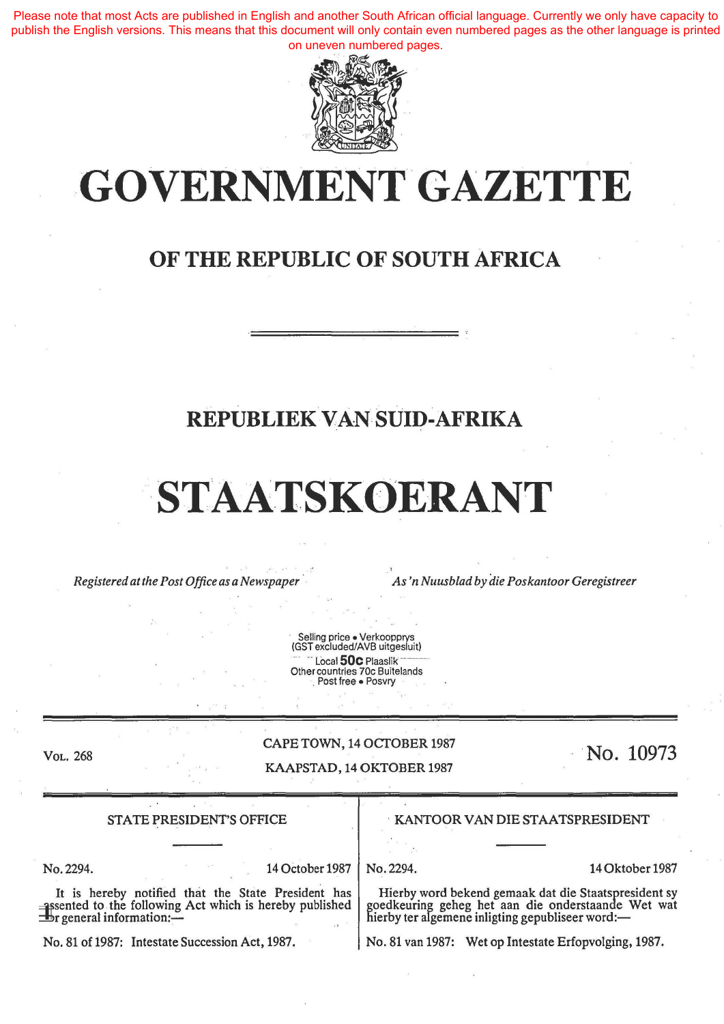Please note that most Acts are published in English and another South African official language. Currently we only have capacity to publish the English versions. This means that this document will only contain even numbered pages as the other language is printed on uneven numbered pages.



# **.-GOVERNMENT. GAZETTE**

## **OF THE REPUBLIC OF SOUTH AFRICA**

## **REPUBLIEK VAN SUID-AFRIKA**

# **STAATSKOERANT**

*Registered at the Post Office as a Newspaper* · *As 'n Nuusblad by die Pos kantoor Geregistreer* 

Selling price • Verkoopprys (GSTexcluded/AVB uitgesluit)  $-$  Local **50c** Plaaslik Other countries 70c Buitelands<br>Post free • Posvry

VoL. 268

### CAPE TOWN, 14 OCTOBER 1987

KAAPSTAD, 14 OKTOBER 1987

**No. 10973** 

No.2294.

14 October 1987 No. 2294. 14 Oktober 1987

It is hereby notified that the State President has sented to the following Act which is hereby published  $\equiv$   $\frac{1}{2}$ r general information: $\equiv$ 

STATE PRESIDENT'S OFFICE **A CONTROLL CONTROLLER IN THE STATE PRESIDENT** 

Hierby word bekend gemaak dat die Staatspresident sy goedkeuring geheg bet aan die onderstaande Wet wat hierby ter algemene inligting gepubliseer word:-

No. 81 of 1987: Intestate Succession Act, 1987. No. 81 van 1987: Wet op Intestate Erfopvolging, 1987.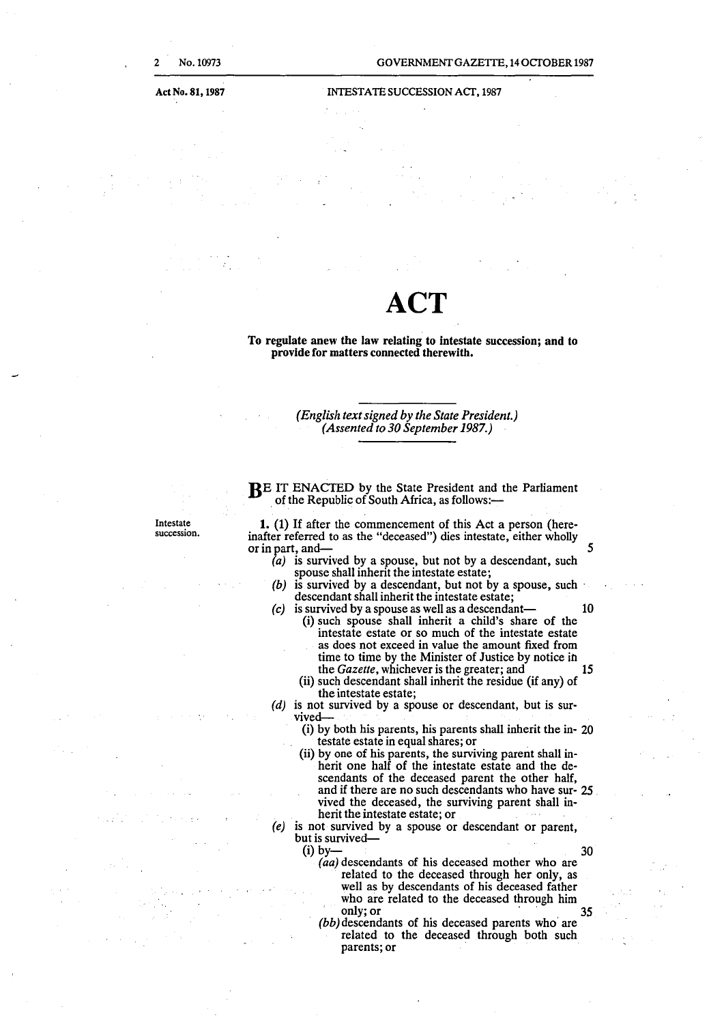#### GOVERNMENT GAZETTE, 14 OCfOBER 1987

#### INTESTATE SUCCESSION ACf, 1987

## **ACT**

To regulate anew the law relating to intestate succession; and to provide for matters connected therewith.

> *(English text signed by the State President.) (Assented to 30 September 1987.)*

Intestate **succession.**  BE IT ENACTED by the State President and the Parliament of the Republic of South Africa, as follows:-

**1.** (1) If after the commencement of this Act a person (hereinafter referred to as the "deceased") dies intestate, either wholly or in part, and  $\frac{3}{2}$ 

- $(a)$  is survived by a spouse, but not by a descendant, such spouse shall inherit the intestate estate;
- $(b)$  is survived by a descendant, but not by a spouse, such descendant shall inherit the intestate estate;
- *(c)* is survived by a spouse as well as a descendant- 10 (i) such spouse shall inherit a child's share of the intestate estate or so much of the intestate estate as does not exceed in value the amount fixed from time to time by the Minister of Justice by notice ih the *Gazette*, whichever is the greater; and 15
	- (ii) such descendant shall inherit the residue (if any) of the intestate estate;
- (d) is not survived by a spouse or descendant, but is survived-
	- (i) by both his parents, his parents shall inherit the in- 20 testate estate in equal shares; or .
	- (ii) by one of his parents, the surviving parent shall inherit one half of the intestate estate and the descendants of the deceased parent the other half, and if there are no such descendants who have sur- 25 vived the deceased, the surviving parent shall inherit the intestate estate; or
- (e) is not survived by a spouse or descendant or parent, but is survived-<br>(i) by-(i) by  $-$  30
	- - *(aa)* descendants of his deceased mother who are related to the deceased through her only, as well as by descendants of his deceased father who are related to the deceased through him only; or **35**
		- (bb) descendants of his deceased parents who are related to the deceased through both such parents; or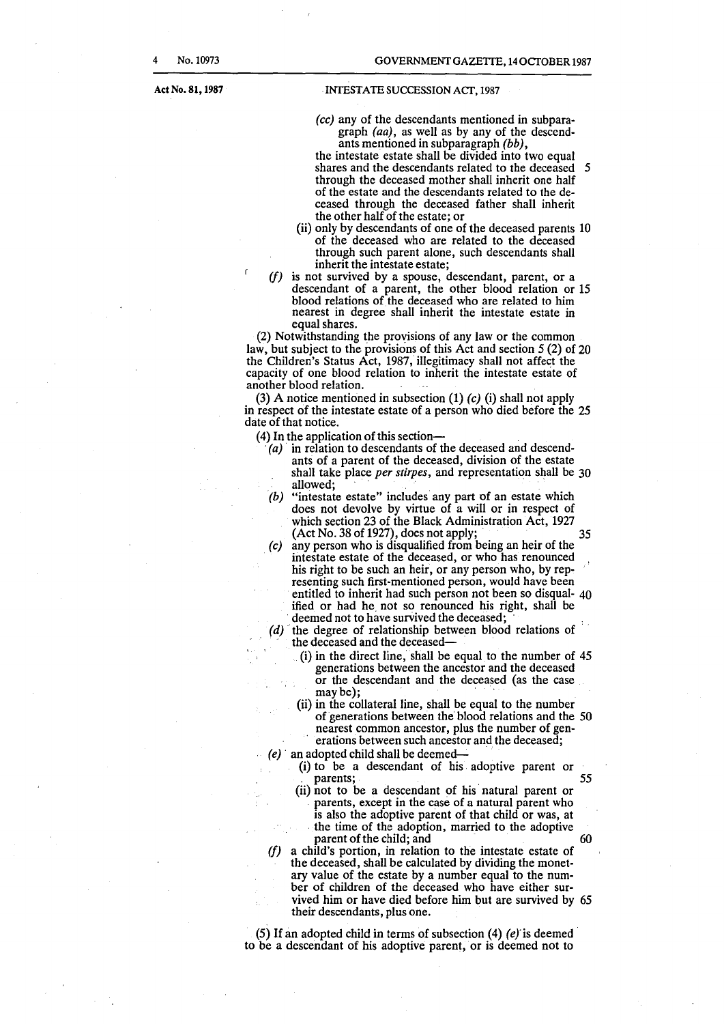Act No. 81, 1987

 $\mathsf{r}$ 

#### .INTESTATE SUCCESSION ACf,1987

(cc) any of the descendants mentioned in subparagraph (aa), as well as by any of the descendants mentioned in subparagraph (bb),

the intestate estate shall be divided into two equal shares and the descendants related to the deceased 5 through the deceased mother shall inherit one half of the estate and the descendants related to the deceased through the deceased father shall inherit the other half of the estate; or

- (ii) only by descendants of one of the deceased parents 10 of the deceased who are related to the deceased through such parent alone, such descendants shall inherit the intestate estate;
- *(f)* is not survived by a spouse, descendant, parent, or a descendant of a parent, the other blood relation or 15 blood relations of the deceased who are related to him nearest in degree shall inherit the intestate estate in equal shares.

(2) Notwithstanding the provisions of any law or the common law, but subject to the provisions of this Act and section *5* (2) of 20 the Children's Status Act, 1987, illegitimacy shall not affect the capacity of one blood relation to inherit the intestate estate of another blood relation.

(3) A notice mentioned in subsection  $(1)$   $(c)$   $(i)$  shall not apply in respect of the intestate estate of a person who died before the 25 date of that notice.

- 
- (4) In the application of this section-<br>  $(a)$  in relation to descendants of the deceased and descendants of a parent of the deceased, division of the estate shall take place *per stirpes,* and representation shall be 30 allowed:
	- (b) "intestate estate" includes any part of an estate which does not devolve by virtue of a will or in respect of which section 23 of the Black Administration Act, 1927  $(Act No. 38 of 1927), does not apply;$  35
	- *(c)* any person who is disqualified from being an heir of the intestate estate of the deceased, or who has renounced his right to be such an heir, or any person who, by representing such first-mentioned person, would have been entitled to inherit had such person not been so disqual- 40 ified or had he not so renounced his right, shall be deemed not to have survived the deceased;
	- *(d)* the degree of relationship between blood relations of the deceased and the deceased-
		- (i) in the direct line, shall be equal to the number of 45 generations between the ancestor and the deceased or the descendant and the deceased (as the case  $may be$ );
		- (ii) in the collateral line, shall be equal to the number of generations between the' blood relations and the 50 nearest common ancestor, plus the number of generations between such ancestor and the deceased;
	- (e) an adopted child shall be deemed---
		- (i) to be a descendant of his . adoptive parent or parents; . 55
			- (ii) not to be a descendant of his natural parent or parents, except in the case of a natural parent who is also the adoptive parent of that child or was, at the time of the adoption, married to the adoptive parent of the child; and
	- *(f)* a child's portion, in relation to the intestate estate of the deceased, shall be calculated by dividing the monetary value of the estate by a number equal to the number of children of the deceased who have either survived him or have died before him but are survived by 65 their descendants, plus one.

(5) If an adopted child in terms of subsection (4)  $(e)$  is deemed to be a descendant of his adoptive parent, or is deemed not to